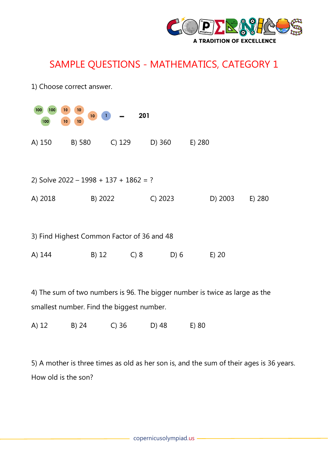

## SAMPLE QUESTIONS - MATHEMATICS, CATEGORY 1

| 1) Choose correct answer.                                           |         |        |         |         |        |  |
|---------------------------------------------------------------------|---------|--------|---------|---------|--------|--|
| 100<br>10<br>100<br>10<br>201<br>10 <sub>1</sub><br>10<br>10<br>100 |         |        |         |         |        |  |
| A) 150                                                              | B) 580  | C) 129 | D) 360  | E) 280  |        |  |
| 2) Solve $2022 - 1998 + 137 + 1862 = ?$                             |         |        |         |         |        |  |
| A) 2018                                                             | B) 2022 |        | C) 2023 | D) 2003 | E) 280 |  |
|                                                                     |         |        |         |         |        |  |
| 3) Find Highest Common Factor of 36 and 48                          |         |        |         |         |        |  |
| A) 144                                                              | $B)$ 12 | C) 8   | D) 6    | $E)$ 20 |        |  |

4) The sum of two numbers is 96. The bigger number is twice as large as the smallest number. Find the biggest number.

A) 12 B) 24 C) 36 D) 48 E) 80

5) A mother is three times as old as her son is, and the sum of their ages is 36 years. How old is the son?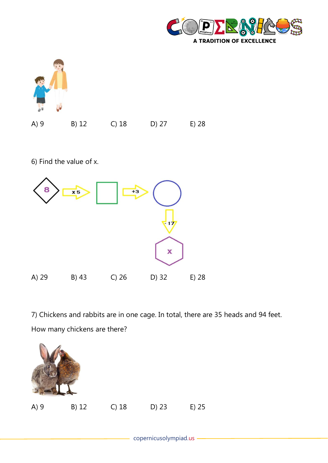



6) Find the value of x.



7) Chickens and rabbits are in one cage. In total, there are 35 heads and 94 feet. How many chickens are there?

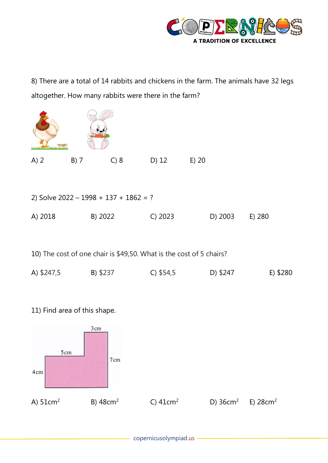

8) There are a total of 14 rabbits and chickens in the farm. The animals have 32 legs altogether. How many rabbits were there in the farm?

| $B)$ 7                                  | C) 8 | D) 12   | $E)$ 20 |         |        |  |
|-----------------------------------------|------|---------|---------|---------|--------|--|
|                                         |      |         |         |         |        |  |
| 2) Solve $2022 - 1998 + 137 + 1862 = ?$ |      |         |         |         |        |  |
|                                         |      | C) 2023 |         | D) 2003 | E) 280 |  |
|                                         |      | B) 2022 |         |         |        |  |

10) The cost of one chair is \$49,50. What is the cost of 5 chairs?

| A) \$247,5 | B) \$237 | $C)$ \$54,5 | D) \$247 | E) \$280 |
|------------|----------|-------------|----------|----------|
|            |          |             |          |          |

11) Find area of this shape.

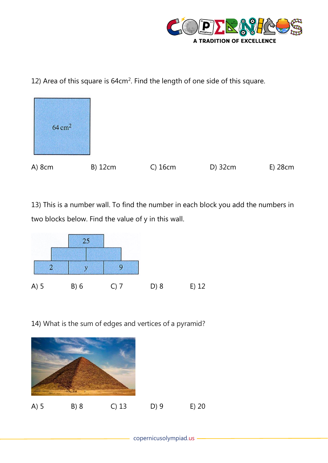

12) Area of this square is  $64 \text{cm}^2$ . Find the length of one side of this square.



13) This is a number wall. To find the number in each block you add the numbers in two blocks below. Find the value of y in this wall.



14) What is the sum of edges and vertices of a pyramid?

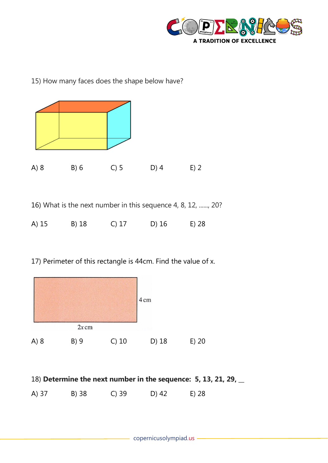

15) How many faces does the shape below have?



16) What is the next number in this sequence 4, 8, 12, ......, 20?

| A) 15 | B) 18 | $C)$ 17 | D) 16 | E) 28 |
|-------|-------|---------|-------|-------|
|       |       |         |       |       |

17) Perimeter of this rectangle is 44cm. Find the value of x.



| 18) Determine the next number in the sequence: 5, 13, 21, 29, $\overline{\phantom{a}}$ |  |
|----------------------------------------------------------------------------------------|--|
|----------------------------------------------------------------------------------------|--|

A) 37 B) 38 C) 39 D) 42 E) 28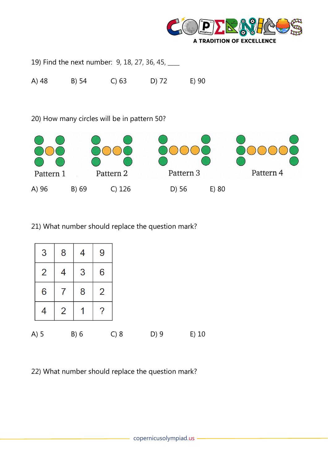

19) Find the next number: 9, 18, 27, 36, 45, \_\_\_

A) 48 B) 54 C) 63 D) 72 E) 90

20) How many circles will be in pattern 50?



## 21) What number should replace the question mark?



22) What number should replace the question mark?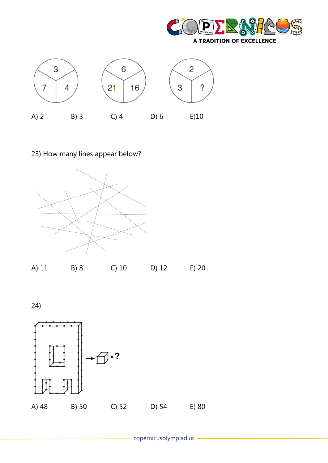



## 23) How many lines appear below?